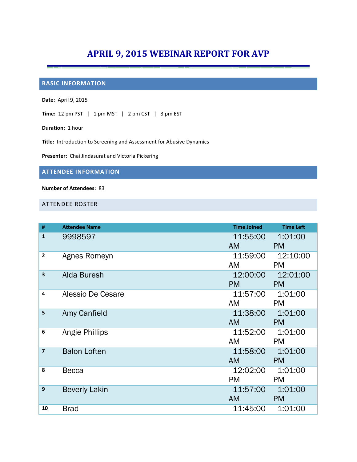# **APRIL 9, 2015 WEBINAR REPORT FOR AVP**

## **BASIC INFORMATION**

**Date:** April 9, 2015

**Time:** 12 pm PST | 1 pm MST | 2 pm CST | 3 pm EST

**Duration:** 1 hour

**Title:** Introduction to Screening and Assessment for Abusive Dynamics

**Presenter:** Chai Jindasurat and Victoria Pickering

### **ATTENDEE INFORMATION**

#### **Number of Attendees:** 83

#### ATTENDEE ROSTER

| #              | <b>Attendee Name</b> | <b>Time Joined</b> | <b>Time Left</b> |
|----------------|----------------------|--------------------|------------------|
| $\mathbf{1}$   | 9998597              | 11:55:00           | 1:01:00          |
|                |                      | <b>AM</b>          | <b>PM</b>        |
| $\mathbf{2}$   | Agnes Romeyn         | 11:59:00           | 12:10:00         |
|                |                      | AM                 | <b>PM</b>        |
| 3              | Alda Buresh          | 12:00:00           | 12:01:00         |
|                |                      | <b>PM</b>          | <b>PM</b>        |
| 4              | Alessio De Cesare    | 11:57:00           | 1:01:00          |
|                |                      | AM                 | <b>PM</b>        |
| 5              | Amy Canfield         | 11:38:00           | 1:01:00          |
|                |                      | <b>AM</b>          | <b>PM</b>        |
| 6              | Angie Phillips       | 11:52:00           | 1:01:00          |
|                |                      | AM                 | <b>PM</b>        |
| $\overline{7}$ | <b>Balon Loften</b>  | 11:58:00           | 1:01:00          |
|                |                      | <b>AM</b>          | <b>PM</b>        |
| 8              | <b>Becca</b>         | 12:02:00           | 1:01:00          |
|                |                      | <b>PM</b>          | <b>PM</b>        |
| 9              | <b>Beverly Lakin</b> | 11:57:00           | 1:01:00          |
|                |                      | <b>AM</b>          | <b>PM</b>        |
| 10             | <b>Brad</b>          | 11:45:00           | 1:01:00          |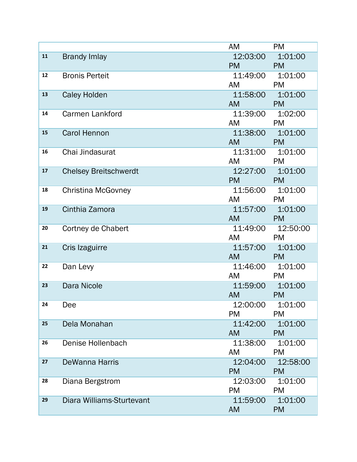|    |                              | AM                      | <b>PM</b>          |
|----|------------------------------|-------------------------|--------------------|
| 11 | <b>Brandy Imlay</b>          | 12:03:00                | 1:01:00            |
|    |                              | <b>PM Example</b>       | <b>PM</b>          |
| 12 | <b>Bronis Perteit</b>        | 11:49:00  1:01:00       |                    |
|    |                              | AM                      | <b>PM</b>          |
| 13 | <b>Caley Holden</b>          | 11:58:00  1:01:00       |                    |
|    |                              | <b>AM</b>               | <b>PM</b>          |
| 14 | <b>Carmen Lankford</b>       | 11:39:00  1:02:00       |                    |
|    |                              | AM                      | <b>PM</b>          |
| 15 | <b>Carol Hennon</b>          | 11:38:00  1:01:00       |                    |
|    |                              | <b>AM</b>               | <b>PM</b>          |
| 16 | Chai Jindasurat              | 11:31:00  1:01:00       |                    |
|    |                              | AM                      | <b>PM</b>          |
| 17 | <b>Chelsey Breitschwerdt</b> | 12:27:00  1:01:00       |                    |
|    |                              | <b>PM</b>               | <b>PM</b>          |
| 18 | <b>Christina McGovney</b>    | 11:56:00  1:01:00       |                    |
|    |                              | AM                      | <b>PM</b>          |
| 19 | Cinthia Zamora               | 11:57:00  1:01:00       |                    |
|    |                              | <b>AM</b>               | <b>PM</b>          |
| 20 | Cortney de Chabert           |                         | 11:49:00  12:50:00 |
| 21 |                              | AM<br>11:57:00  1:01:00 | <b>PM</b>          |
|    | Cris Izaguirre               | <b>AM</b>               | <b>PM</b>          |
| 22 | Dan Levy                     | 11:46:00  1:01:00       |                    |
|    |                              | AM                      | <b>PM</b>          |
| 23 | Dara Nicole                  | 11:59:00  1:01:00       |                    |
|    |                              | <b>AM</b>               | <b>PM</b>          |
| 24 | Dee                          | 12:00:00                | 1:01:00            |
|    |                              | <b>PM</b>               | <b>PM</b>          |
| 25 | Dela Monahan                 | 11:42:00                | 1:01:00            |
|    |                              | <b>AM</b>               | <b>PM</b>          |
| 26 | Denise Hollenbach            | 11:38:00                | 1:01:00            |
|    |                              | AM                      | <b>PM</b>          |
| 27 | <b>DeWanna Harris</b>        | 12:04:00                | 12:58:00           |
|    |                              | <b>PM</b>               | <b>PM</b>          |
| 28 | Diana Bergstrom              | 12:03:00                | 1:01:00            |
|    |                              | <b>PM</b>               | <b>PM</b>          |
| 29 | Diara Williams-Sturtevant    | 11:59:00                | 1:01:00            |
|    |                              | <b>AM</b>               | <b>PM</b>          |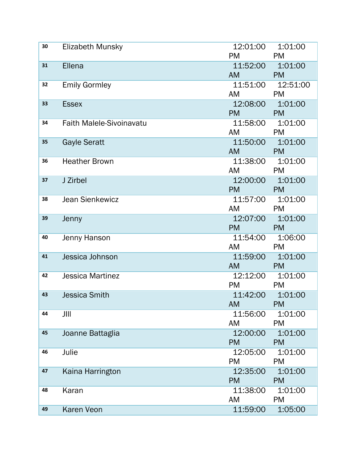| 30 | Elizabeth Munsky                | 12:01:00                               | 1:01:00            |
|----|---------------------------------|----------------------------------------|--------------------|
|    |                                 | <b>PM</b>                              | <b>PM</b>          |
| 31 | Ellena                          | 11:52:00                               | 1:01:00            |
|    |                                 | <b>AM</b>                              | <b>Example PM</b>  |
| 32 | <b>Emily Gormley</b>            |                                        | 11:51:00  12:51:00 |
|    |                                 | AM <b>AM</b>                           | <b>PM</b>          |
| 33 | <b>Essex</b>                    | 12:08:00  1:01:00                      |                    |
|    |                                 | <b>PM</b>                              | <b>PM</b>          |
| 34 | <b>Faith Malele-Sivoinavatu</b> | 11:58:00                               | 1:01:00            |
|    |                                 | AM                                     | <b>PM</b>          |
| 35 | <b>Gayle Seratt</b>             | 11:50:00  1:01:00                      |                    |
|    |                                 | <b>AM</b>                              | <b>PM</b>          |
| 36 | <b>Heather Brown</b>            | 11:38:00  1:01:00                      |                    |
|    |                                 | AM PM                                  |                    |
| 37 | J Zirbel                        | 12:00:00  1:01:00                      |                    |
|    |                                 | <b>PM</b>                              | <b>PM</b>          |
| 38 | <b>Jean Sienkewicz</b>          | 11:57:00  1:01:00                      |                    |
|    |                                 | AM                                     | <b>PM</b>          |
| 39 | Jenny                           | 12:07:00  1:01:00<br><b>PM Example</b> |                    |
| 40 |                                 | 11:54:00  1:06:00                      | <b>PM</b>          |
|    | Jenny Hanson                    | AM                                     | <b>PM</b>          |
| 41 | Jessica Johnson                 | 11:59:00  1:01:00                      |                    |
|    |                                 | AM <b>AM</b>                           | <b>PM</b>          |
| 42 | <b>Jessica Martinez</b>         | 12:12:00  1:01:00                      |                    |
|    |                                 | <b>PM</b>                              | <b>PM</b>          |
| 43 | <b>Jessica Smith</b>            | 11:42:00                               | 1:01:00            |
|    |                                 | AM<br><b>Example 19 PM</b>             |                    |
| 44 | JIII                            | 11:56:00                               | 1:01:00            |
|    |                                 | AM                                     | <b>PM</b>          |
| 45 | Joanne Battaglia                | 12:00:00                               | 1:01:00            |
|    |                                 | <b>PM</b>                              | <b>PM</b>          |
| 46 | Julie                           | 12:05:00                               | 1:01:00            |
|    |                                 | <b>PM</b>                              | <b>PM</b>          |
| 47 | Kaina Harrington                | 12:35:00                               | 1:01:00            |
|    |                                 | <b>PM</b>                              | <b>PM</b>          |
| 48 | Karan                           | 11:38:00                               | 1:01:00            |
|    |                                 | AM                                     | <b>PM</b>          |
| 49 | Karen Veon                      | 11:59:00                               | 1:05:00            |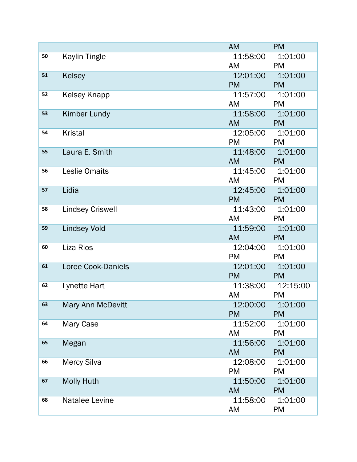|    |                         | <b>AM</b>                                                                                                                                                                                                                      | <b>PM</b>            |
|----|-------------------------|--------------------------------------------------------------------------------------------------------------------------------------------------------------------------------------------------------------------------------|----------------------|
| 50 | <b>Kaylin Tingle</b>    | 11:58:00  1:01:00                                                                                                                                                                                                              |                      |
|    |                         | AM                                                                                                                                                                                                                             | <b>PM</b>            |
| 51 | Kelsey                  | 12:01:00                                                                                                                                                                                                                       | 1:01:00              |
|    |                         | <b>PM</b>                                                                                                                                                                                                                      | <b>PM</b>            |
| 52 | Kelsey Knapp            | 11:57:00  1:01:00                                                                                                                                                                                                              |                      |
|    |                         | AM                                                                                                                                                                                                                             | <b>PM</b>            |
| 53 | Kimber Lundy            | 11:58:00  1:01:00                                                                                                                                                                                                              |                      |
|    |                         | <b>AM</b>                                                                                                                                                                                                                      | <b>PM</b>            |
| 54 | <b>Kristal</b>          | 12:05:00  1:01:00                                                                                                                                                                                                              |                      |
|    |                         | <b>PM</b>                                                                                                                                                                                                                      | <b>PM</b>            |
| 55 | Laura E. Smith          | 11:48:00  1:01:00                                                                                                                                                                                                              |                      |
|    |                         | AM a                                                                                                                                                                                                                           | <b>PM</b>            |
| 56 | <b>Leslie Omaits</b>    | 11:45:00  1:01:00                                                                                                                                                                                                              |                      |
|    |                         | AM                                                                                                                                                                                                                             | <b>PM</b>            |
| 57 | Lidia                   | 12:45:00                                                                                                                                                                                                                       | 1:01:00              |
|    |                         | <b>PM</b>                                                                                                                                                                                                                      | <b>PM</b>            |
| 58 | <b>Lindsey Criswell</b> | 11:43:00  1:01:00                                                                                                                                                                                                              |                      |
|    |                         | AM                                                                                                                                                                                                                             | <b>PM</b>            |
| 59 | <b>Lindsey Vold</b>     | 11:59:00  1:01:00                                                                                                                                                                                                              |                      |
|    |                         | AM and the set of the set of the set of the set of the set of the set of the set of the set of the set of the set of the set of the set of the set of the set of the set of the set of the set of the set of the set of the se | <b>PM</b>            |
| 60 | Liza Rios               | 12:04:00  1:01:00                                                                                                                                                                                                              |                      |
|    |                         | <b>PM</b>                                                                                                                                                                                                                      | <b>PM</b>            |
| 61 | Loree Cook-Daniels      | 12:01:00  1:01:00                                                                                                                                                                                                              |                      |
|    |                         | <b>PM</b>                                                                                                                                                                                                                      | <b>PM</b>            |
| 62 | Lynette Hart            |                                                                                                                                                                                                                                | 11:38:00  12:15:00   |
|    |                         | AM                                                                                                                                                                                                                             | <b>PM</b>            |
| 63 | Mary Ann McDevitt       | 12:00:00  1:01:00                                                                                                                                                                                                              |                      |
| 64 |                         | <b>PM</b>                                                                                                                                                                                                                      | <b>PM</b>            |
|    | Mary Case               | 11:52:00<br>AM                                                                                                                                                                                                                 | 1:01:00<br><b>PM</b> |
| 65 | Megan                   | 11:56:00                                                                                                                                                                                                                       | 1:01:00              |
|    |                         | <b>AM</b>                                                                                                                                                                                                                      | <b>PM</b>            |
| 66 | <b>Mercy Silva</b>      | 12:08:00                                                                                                                                                                                                                       | 1:01:00              |
|    |                         | <b>PM</b>                                                                                                                                                                                                                      | <b>PM</b>            |
| 67 | <b>Molly Huth</b>       | 11:50:00                                                                                                                                                                                                                       | 1:01:00              |
|    |                         | <b>AM</b>                                                                                                                                                                                                                      | <b>PM</b>            |
| 68 | Natalee Levine          | 11:58:00                                                                                                                                                                                                                       | 1:01:00              |
|    |                         |                                                                                                                                                                                                                                |                      |
|    |                         | AM                                                                                                                                                                                                                             | <b>PM</b>            |